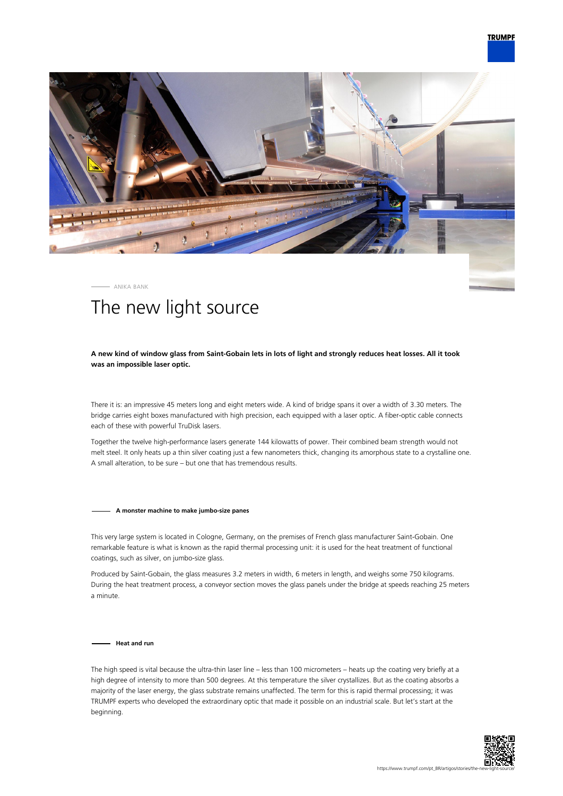

ANIKA BANK

# The new light source

# **A new kind of window glass from Saint-Gobain lets in lots of light and strongly reduces heat losses. All it took was an impossible laser optic.**

There it is: an impressive 45 meters long and eight meters wide. A kind of bridge spans it over a width of 3.30 meters. The bridge carries eight boxes manufactured with high precision, each equipped with a laser optic. A fiber-optic cable connects each of these with powerful TruDisk lasers.

Together the twelve high-performance lasers generate 144 kilowatts of power. Their combined beam strength would not melt steel. It only heats up a thin silver coating just a few nanometers thick, changing its amorphous state to a crystalline one. A small alteration, to be sure – but one that has tremendous results.

#### **A monster machine to make jumbo-size panes**

This very large system is located in Cologne, Germany, on the premises of French glass manufacturer Saint-Gobain. One remarkable feature is what is known as the rapid thermal processing unit: it is used for the heat treatment of functional coatings, such as silver, on jumbo-size glass.

Produced by Saint-Gobain, the glass measures 3.2 meters in width, 6 meters in length, and weighs some 750 kilograms. During the heat treatment process, a conveyor section moves the glass panels under the bridge at speeds reaching 25 meters a minute.

**Heat and run**

The high speed is vital because the ultra-thin laser line – less than 100 micrometers – heats up the coating very briefly at a high degree of intensity to more than 500 degrees. At this temperature the silver crystallizes. But as the coating absorbs a majority of the laser energy, the glass substrate remains unaffected. The term for this is rapid thermal processing; it was TRUMPF experts who developed the extraordinary optic that made it possible on an industrial scale. But let's start at the beginning.

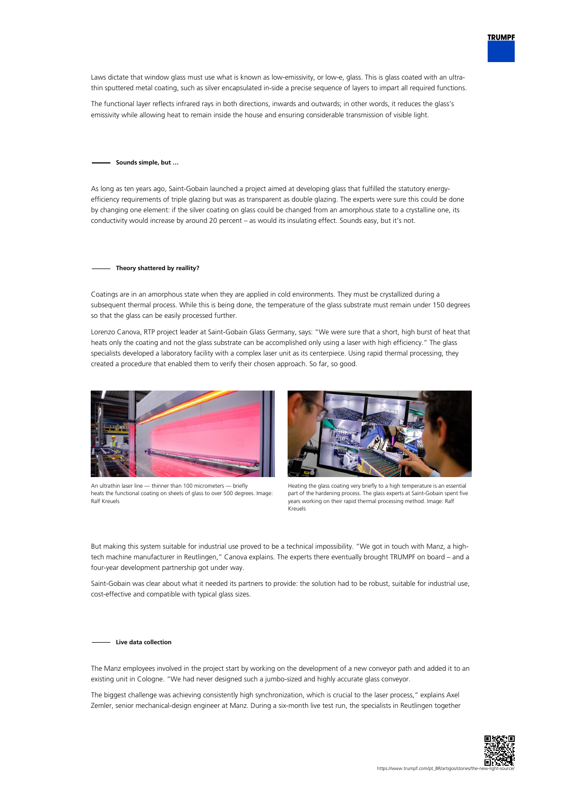

Laws dictate that window glass must use what is known as low-emissivity, or low-e, glass. This is glass coated with an ultrathin sputtered metal coating, such as silver encapsulated in-side a precise sequence of layers to impart all required functions.

The functional layer reflects infrared rays in both directions, inwards and outwards; in other words, it reduces the glass's emissivity while allowing heat to remain inside the house and ensuring considerable transmission of visible light.

## **Sounds simple, but …**

As long as ten years ago, Saint-Gobain launched a project aimed at developing glass that fulfilled the statutory energyefficiency requirements of triple glazing but was as transparent as double glazing. The experts were sure this could be done by changing one element: if the silver coating on glass could be changed from an amorphous state to a crystalline one, its conductivity would increase by around 20 percent – as would its insulating effect. Sounds easy, but it's not.

## **Theory shattered by reallity?**

Coatings are in an amorphous state when they are applied in cold environments. They must be crystallized during a subsequent thermal process. While this is being done, the temperature of the glass substrate must remain under 150 degrees so that the glass can be easily processed further.

Lorenzo Canova, RTP project leader at Saint-Gobain Glass Germany, says: "We were sure that a short, high burst of heat that heats only the coating and not the glass substrate can be accomplished only using a laser with high efficiency." The glass specialists developed a laboratory facility with a complex laser unit as its centerpiece. Using rapid thermal processing, they created a procedure that enabled them to verify their chosen approach. So far, so good.



An ultrathin laser line — thinner than 100 micrometers — briefly heats the functional coating on sheets of glass to over 500 degrees. Image: Ralf Kreuels



Heating the glass coating very briefly to a high temperature is an essential part of the hardening process. The glass experts at Saint-Gobain spent five years working on their rapid thermal processing method. Image: Ralf Kreuels

But making this system suitable for industrial use proved to be a technical impossibility. "We got in touch with Manz, a hightech machine manufacturer in Reutlingen," Canova explains. The experts there eventually brought TRUMPF on board – and a four-year development partnership got under way.

Saint-Gobain was clear about what it needed its partners to provide: the solution had to be robust, suitable for industrial use, cost-effective and compatible with typical glass sizes.

#### **Live data collection**

The Manz employees involved in the project start by working on the development of a new conveyor path and added it to an existing unit in Cologne. "We had never designed such a jumbo-sized and highly accurate glass conveyor.

The biggest challenge was achieving consistently high synchronization, which is crucial to the laser process," explains Axel Zemler, senior mechanical-design engineer at Manz. During a six-month live test run, the specialists in Reutlingen together

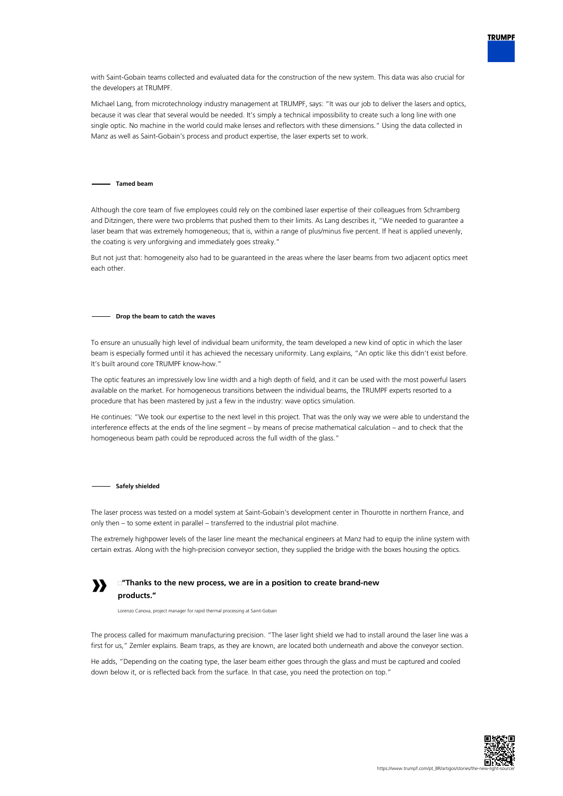

with Saint-Gobain teams collected and evaluated data for the construction of the new system. This data was also crucial for the developers at TRUMPF.

Michael Lang, from microtechnology industry management at TRUMPF, says: "It was our job to deliver the lasers and optics, because it was clear that several would be needed. It's simply a technical impossibility to create such a long line with one single optic. No machine in the world could make lenses and reflectors with these dimensions." Using the data collected in Manz as well as Saint-Gobain's process and product expertise, the laser experts set to work.

## **Tamed beam**

Although the core team of five employees could rely on the combined laser expertise of their colleagues from Schramberg and Ditzingen, there were two problems that pushed them to their limits. As Lang describes it, "We needed to guarantee a laser beam that was extremely homogeneous; that is, within a range of plus/minus five percent. If heat is applied unevenly, the coating is very unforgiving and immediately goes streaky."

But not just that: homogeneity also had to be guaranteed in the areas where the laser beams from two adjacent optics meet each other.

## **Drop the beam to catch the waves**

To ensure an unusually high level of individual beam uniformity, the team developed a new kind of optic in which the laser beam is especially formed until it has achieved the necessary uniformity. Lang explains, "An optic like this didn't exist before. It's built around core TRUMPF know-how."

The optic features an impressively low line width and a high depth of field, and it can be used with the most powerful lasers available on the market. For homogeneous transitions between the individual beams, the TRUMPF experts resorted to a procedure that has been mastered by just a few in the industry: wave optics simulation.

He continues: "We took our expertise to the next level in this project. That was the only way we were able to understand the interference effects at the ends of the line segment – by means of precise mathematical calculation – and to check that the homogeneous beam path could be reproduced across the full width of the glass."

#### **Safely shielded**

The laser process was tested on a model system at Saint-Gobain's development center in Thourotte in northern France, and only then – to some extent in parallel – transferred to the industrial pilot machine.

The extremely highpower levels of the laser line meant the mechanical engineers at Manz had to equip the inline system with certain extras. Along with the high-precision conveyor section, they supplied the bridge with the boxes housing the optics.



# **"Thanks to the new process, we are in a position to create brand-new products."**

Lorenzo Canova, project manager for rapid thermal processing at Saint-Gobain

The process called for maximum manufacturing precision. "The laser light shield we had to install around the laser line was a first for us," Zemler explains. Beam traps, as they are known, are located both underneath and above the conveyor section.

He adds, "Depending on the coating type, the laser beam either goes through the glass and must be captured and cooled down below it, or is reflected back from the surface. In that case, you need the protection on top."